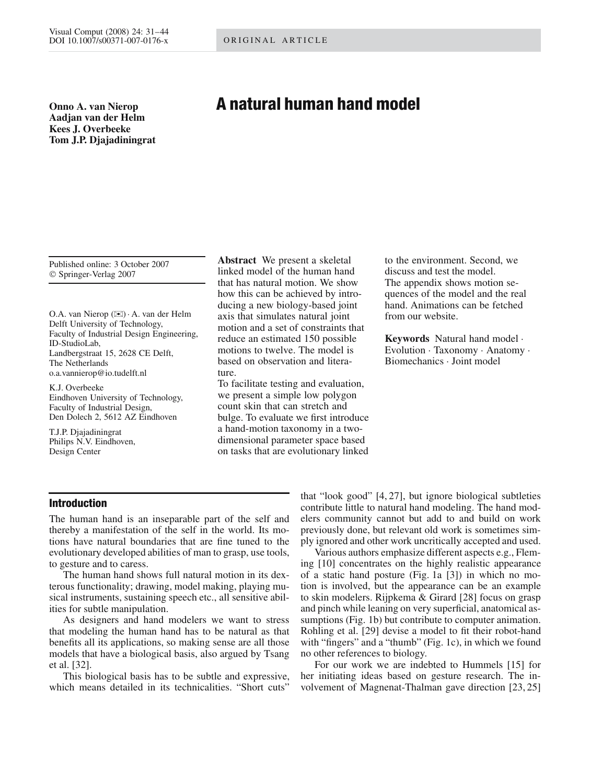**Onno A. van Nierop Aadjan van der Helm Kees J. Overbeeke Tom J.P. Djajadiningrat**

# **A natural human hand model**

Published online: 3 October 2007 © Springer-Verlag 2007

O.A. van Nierop (✉)· A. van der Helm Delft University of Technology, Faculty of Industrial Design Engineering, ID-StudioLab, Landbergstraat 15, 2628 CE Delft, The Netherlands o.a.vannierop@io.tudelft.nl

K.J. Overbeeke Eindhoven University of Technology, Faculty of Industrial Design, Den Dolech 2, 5612 AZ Eindhoven

T.J.P. Djajadiningrat Philips N.V. Eindhoven, Design Center

**Abstract** We present a skeletal linked model of the human hand that has natural motion. We show how this can be achieved by introducing a new biology-based joint axis that simulates natural joint motion and a set of constraints that reduce an estimated 150 possible motions to twelve. The model is based on observation and literature.

To facilitate testing and evaluation, we present a simple low polygon count skin that can stretch and bulge. To evaluate we first introduce a hand-motion taxonomy in a twodimensional parameter space based on tasks that are evolutionary linked

to the environment. Second, we discuss and test the model. The appendix shows motion sequences of the model and the real hand. Animations can be fetched from our website.

**Keywords** Natural hand model · Evolution · Taxonomy · Anatomy · Biomechanics · Joint model

## **Introduction**

The human hand is an inseparable part of the self and thereby a manifestation of the self in the world. Its motions have natural boundaries that are fine tuned to the evolutionary developed abilities of man to grasp, use tools, to gesture and to caress.

The human hand shows full natural motion in its dexterous functionality; drawing, model making, playing musical instruments, sustaining speech etc., all sensitive abilities for subtle manipulation.

As designers and hand modelers we want to stress that modeling the human hand has to be natural as that benefits all its applications, so making sense are all those models that have a biological basis, also argued by Tsang et al. [32].

This biological basis has to be subtle and expressive, which means detailed in its technicalities. "Short cuts"

that "look good" [4, 27], but ignore biological subtleties contribute little to natural hand modeling. The hand modelers community cannot but add to and build on work previously done, but relevant old work is sometimes simply ignored and other work uncritically accepted and used.

Various authors emphasize different aspects e.g., Fleming [10] concentrates on the highly realistic appearance of a static hand posture (Fig. 1a [3]) in which no motion is involved, but the appearance can be an example to skin modelers. Rijpkema & Girard [28] focus on grasp and pinch while leaning on very superficial, anatomical assumptions (Fig. 1b) but contribute to computer animation. Rohling et al. [29] devise a model to fit their robot-hand with "fingers" and a "thumb" (Fig. 1c), in which we found no other references to biology.

For our work we are indebted to Hummels [15] for her initiating ideas based on gesture research. The involvement of Magnenat-Thalman gave direction [23, 25]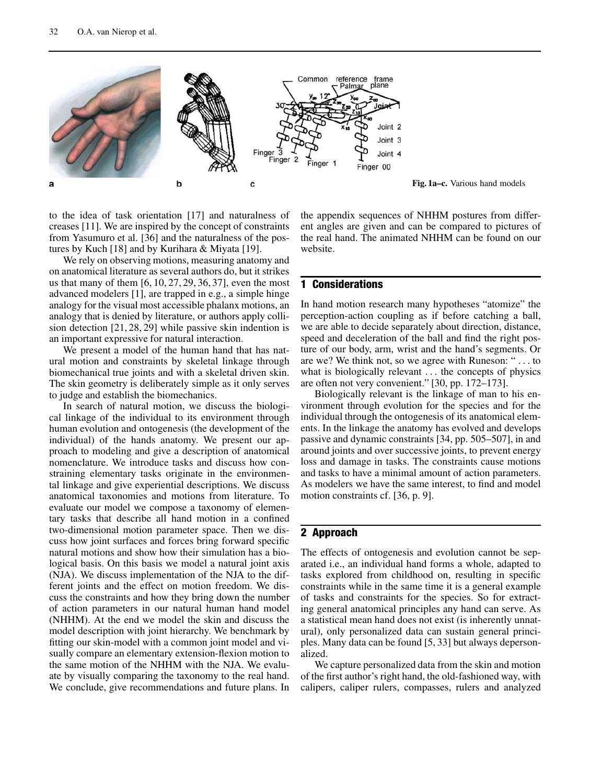

**Fig. 1a–c.** Various hand models

to the idea of task orientation [17] and naturalness of creases [11]. We are inspired by the concept of constraints from Yasumuro et al. [36] and the naturalness of the postures by Kuch [18] and by Kurihara & Miyata [19].

We rely on observing motions, measuring anatomy and on anatomical literature as several authors do, but it strikes us that many of them [6, 10, 27, 29, 36, 37], even the most advanced modelers [1], are trapped in e.g., a simple hinge analogy for the visual most accessible phalanx motions, an analogy that is denied by literature, or authors apply collision detection [21, 28, 29] while passive skin indention is an important expressive for natural interaction.

We present a model of the human hand that has natural motion and constraints by skeletal linkage through biomechanical true joints and with a skeletal driven skin. The skin geometry is deliberately simple as it only serves to judge and establish the biomechanics.

In search of natural motion, we discuss the biological linkage of the individual to its environment through human evolution and ontogenesis (the development of the individual) of the hands anatomy. We present our approach to modeling and give a description of anatomical nomenclature. We introduce tasks and discuss how constraining elementary tasks originate in the environmental linkage and give experiential descriptions. We discuss anatomical taxonomies and motions from literature. To evaluate our model we compose a taxonomy of elementary tasks that describe all hand motion in a confined two-dimensional motion parameter space. Then we discuss how joint surfaces and forces bring forward specific natural motions and show how their simulation has a biological basis. On this basis we model a natural joint axis (NJA). We discuss implementation of the NJA to the different joints and the effect on motion freedom. We discuss the constraints and how they bring down the number of action parameters in our natural human hand model (NHHM). At the end we model the skin and discuss the model description with joint hierarchy. We benchmark by fitting our skin-model with a common joint model and visually compare an elementary extension-flexion motion to the same motion of the NHHM with the NJA. We evaluate by visually comparing the taxonomy to the real hand. We conclude, give recommendations and future plans. In the appendix sequences of NHHM postures from different angles are given and can be compared to pictures of the real hand. The animated NHHM can be found on our website.

#### **1 Considerations**

In hand motion research many hypotheses "atomize" the perception-action coupling as if before catching a ball, we are able to decide separately about direction, distance, speed and deceleration of the ball and find the right posture of our body, arm, wrist and the hand's segments. Or are we? We think not, so we agree with Runeson: " ... to what is biologically relevant ... the concepts of physics are often not very convenient." [30, pp. 172–173].

Biologically relevant is the linkage of man to his environment through evolution for the species and for the individual through the ontogenesis of its anatomical elements. In the linkage the anatomy has evolved and develops passive and dynamic constraints [34, pp. 505–507], in and around joints and over successive joints, to prevent energy loss and damage in tasks. The constraints cause motions and tasks to have a minimal amount of action parameters. As modelers we have the same interest, to find and model motion constraints cf. [36, p. 9].

## **2 Approach**

The effects of ontogenesis and evolution cannot be separated i.e., an individual hand forms a whole, adapted to tasks explored from childhood on, resulting in specific constraints while in the same time it is a general example of tasks and constraints for the species. So for extracting general anatomical principles any hand can serve. As a statistical mean hand does not exist (is inherently unnatural), only personalized data can sustain general principles. Many data can be found [5, 33] but always depersonalized.

We capture personalized data from the skin and motion of the first author's right hand, the old-fashioned way, with calipers, caliper rulers, compasses, rulers and analyzed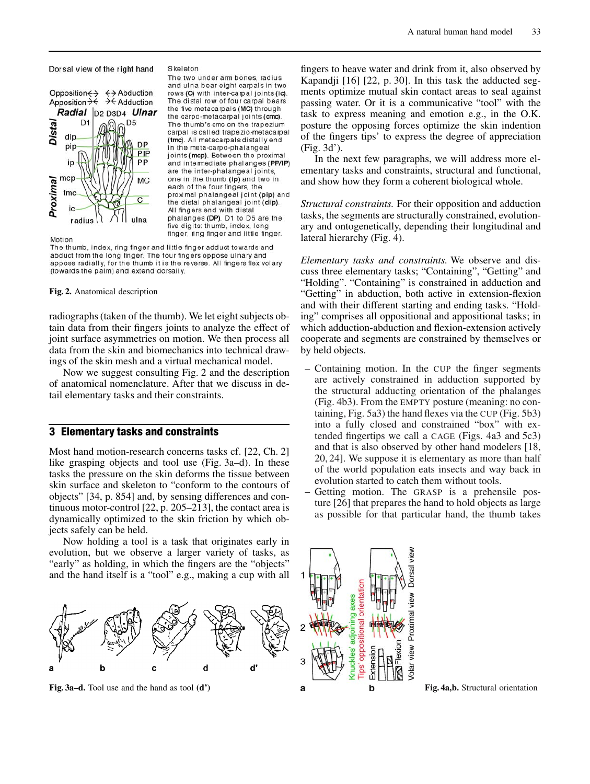Dorsal view of the right hand



Skeleton

The two under arm bones, radius and ulna bear eight carpals in two rows (C) with inter-carpal joints (ic). The distal row of four carpal bears the five metacarpals (MC) through the carpo-metacarpal joints (cmc). The thumb's cmc on the trapezium carpal is called trapezio-metacarpal (tmc). All metacarpals distally end in the meta-carpo-phalangeal joints (mcp). Between the proximal and intermediate phalanges (PP/IP) are the inter-phalangeal joints. one in the thumb (ip) and two in each of the four fingers, the proximal phalangeal joint (pip) and the distal phalangeal joint (dip). All fingers end with distal phalanges (DP). D1 to D5 are the five digits: thumb, index, long finger, ring finger and little finger.

The thumb, index, ring finger and little finger adduct towards and abduct from the long finger. The four fingers oppose ulnary and appose radially, for the thumb it is the reverse. All fingers flex volary (towards the palm) and extend dorsally.

**Fig. 2.** Anatomical description

Motion

radiographs (taken of the thumb). We let eight subjects obtain data from their fingers joints to analyze the effect of joint surface asymmetries on motion. We then process all data from the skin and biomechanics into technical drawings of the skin mesh and a virtual mechanical model.

Now we suggest consulting Fig. 2 and the description of anatomical nomenclature. After that we discuss in detail elementary tasks and their constraints.

# **3 Elementary tasks and constraints**

Most hand motion-research concerns tasks cf. [22, Ch. 2] like grasping objects and tool use (Fig. 3a–d). In these tasks the pressure on the skin deforms the tissue between skin surface and skeleton to "conform to the contours of objects" [34, p. 854] and, by sensing differences and continuous motor-control [22, p. 205–213], the contact area is dynamically optimized to the skin friction by which objects safely can be held.

Now holding a tool is a task that originates early in evolution, but we observe a larger variety of tasks, as "early" as holding, in which the fingers are the "objects" and the hand itself is a "tool" e.g., making a cup with all



In the next few paragraphs, we will address more elementary tasks and constraints, structural and functional, and show how they form a coherent biological whole.

*Structural constraints.* For their opposition and adduction tasks, the segments are structurally constrained, evolutionary and ontogenetically, depending their longitudinal and lateral hierarchy (Fig. 4).

*Elementary tasks and constraints.* We observe and discuss three elementary tasks; "Containing", "Getting" and "Holding". "Containing" is constrained in adduction and "Getting" in abduction, both active in extension-flexion and with their different starting and ending tasks. "Holding" comprises all oppositional and appositional tasks; in which adduction-abduction and flexion-extension actively cooperate and segments are constrained by themselves or by held objects.

- Containing motion. In the CUP the finger segments are actively constrained in adduction supported by the structural adducting orientation of the phalanges (Fig. 4b3). From the EMPTY posture (meaning: no containing, Fig. 5a3) the hand flexes via the CUP (Fig. 5b3) into a fully closed and constrained "box" with extended fingertips we call a CAGE (Figs. 4a3 and 5c3) and that is also observed by other hand modelers [18, 20, 24]. We suppose it is elementary as more than half of the world population eats insects and way back in evolution started to catch them without tools.
- Getting motion. The GRASP is a prehensile posture [26] that prepares the hand to hold objects as large as possible for that particular hand, the thumb takes



**Fig. 3a–d.** Tool use and the hand as tool **(d')**



**Fig. 4a,b.** Structural orientation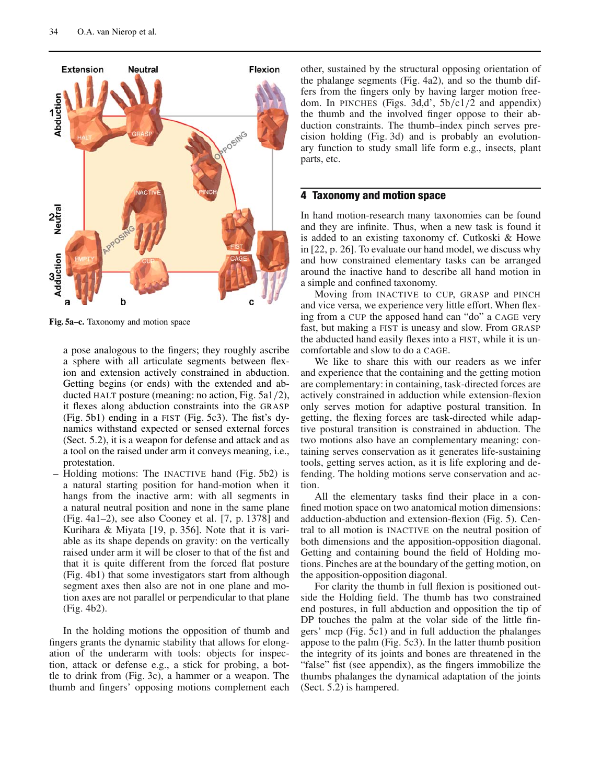

**Fig. 5a–c.** Taxonomy and motion space

a pose analogous to the fingers; they roughly ascribe a sphere with all articulate segments between flexion and extension actively constrained in abduction. Getting begins (or ends) with the extended and abducted HALT posture (meaning: no action, Fig. 5a1/2), it flexes along abduction constraints into the GRASP (Fig. 5b1) ending in a FIST (Fig. 5c3). The fist's dynamics withstand expected or sensed external forces (Sect. 5.2), it is a weapon for defense and attack and as a tool on the raised under arm it conveys meaning, i.e., protestation.

– Holding motions: The INACTIVE hand (Fig. 5b2) is a natural starting position for hand-motion when it hangs from the inactive arm: with all segments in a natural neutral position and none in the same plane (Fig. 4a1–2), see also Cooney et al. [7, p. 1378] and Kurihara & Miyata [19, p. 356]. Note that it is variable as its shape depends on gravity: on the vertically raised under arm it will be closer to that of the fist and that it is quite different from the forced flat posture (Fig. 4b1) that some investigators start from although segment axes then also are not in one plane and motion axes are not parallel or perpendicular to that plane (Fig. 4b2).

In the holding motions the opposition of thumb and fingers grants the dynamic stability that allows for elongation of the underarm with tools: objects for inspection, attack or defense e.g., a stick for probing, a bottle to drink from (Fig. 3c), a hammer or a weapon. The thumb and fingers' opposing motions complement each

other, sustained by the structural opposing orientation of the phalange segments (Fig. 4a2), and so the thumb differs from the fingers only by having larger motion freedom. In PINCHES (Figs. 3d,d', 5b/c1/2 and appendix) the thumb and the involved finger oppose to their abduction constraints. The thumb–index pinch serves precision holding (Fig. 3d) and is probably an evolutionary function to study small life form e.g., insects, plant parts, etc.

## **4 Taxonomy and motion space**

In hand motion-research many taxonomies can be found and they are infinite. Thus, when a new task is found it is added to an existing taxonomy cf. Cutkoski & Howe in [22, p. 26]. To evaluate our hand model, we discuss why and how constrained elementary tasks can be arranged around the inactive hand to describe all hand motion in a simple and confined taxonomy.

Moving from INACTIVE to CUP, GRASP and PINCH and vice versa, we experience very little effort. When flexing from a CUP the apposed hand can "do" a CAGE very fast, but making a FIST is uneasy and slow. From GRASP the abducted hand easily flexes into a FIST, while it is uncomfortable and slow to do a CAGE.

We like to share this with our readers as we infer and experience that the containing and the getting motion are complementary: in containing, task-directed forces are actively constrained in adduction while extension-flexion only serves motion for adaptive postural transition. In getting, the flexing forces are task-directed while adaptive postural transition is constrained in abduction. The two motions also have an complementary meaning: containing serves conservation as it generates life-sustaining tools, getting serves action, as it is life exploring and defending. The holding motions serve conservation and action.

All the elementary tasks find their place in a confined motion space on two anatomical motion dimensions: adduction-abduction and extension-flexion (Fig. 5). Central to all motion is INACTIVE on the neutral position of both dimensions and the apposition-opposition diagonal. Getting and containing bound the field of Holding motions. Pinches are at the boundary of the getting motion, on the apposition-opposition diagonal.

For clarity the thumb in full flexion is positioned outside the Holding field. The thumb has two constrained end postures, in full abduction and opposition the tip of DP touches the palm at the volar side of the little fingers' mcp (Fig. 5c1) and in full adduction the phalanges appose to the palm (Fig. 5c3). In the latter thumb position the integrity of its joints and bones are threatened in the "false" fist (see appendix), as the fingers immobilize the thumbs phalanges the dynamical adaptation of the joints (Sect. 5.2) is hampered.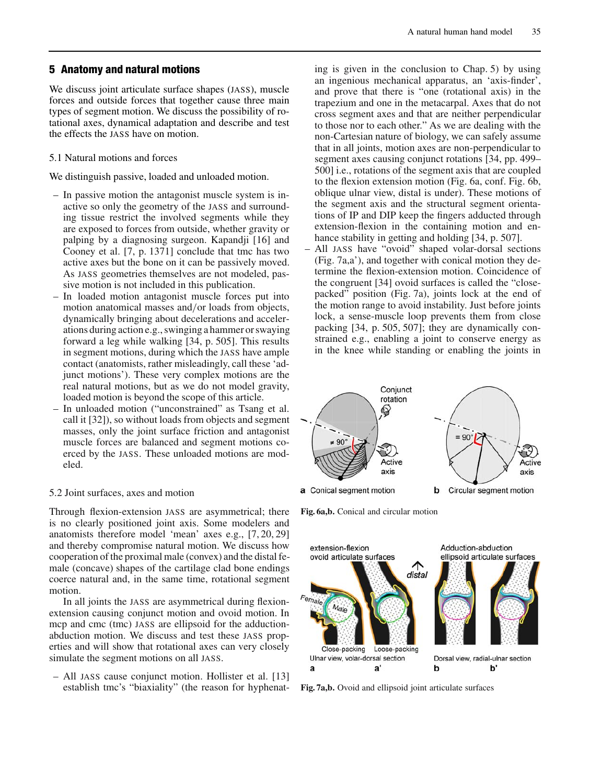# **5 Anatomy and natural motions**

We discuss joint articulate surface shapes (JASS), muscle forces and outside forces that together cause three main types of segment motion. We discuss the possibility of rotational axes, dynamical adaptation and describe and test the effects the JASS have on motion.

## 5.1 Natural motions and forces

We distinguish passive, loaded and unloaded motion.

- In passive motion the antagonist muscle system is inactive so only the geometry of the JASS and surrounding tissue restrict the involved segments while they are exposed to forces from outside, whether gravity or palping by a diagnosing surgeon. Kapandji [16] and Cooney et al. [7, p. 1371] conclude that tmc has two active axes but the bone on it can be passively moved. As JASS geometries themselves are not modeled, passive motion is not included in this publication.
- In loaded motion antagonist muscle forces put into motion anatomical masses and/or loads from objects, dynamically bringing about decelerations and accelerations during action e.g., swinging a hammer or swaying forward a leg while walking [34, p. 505]. This results in segment motions, during which the JASS have ample contact (anatomists, rather misleadingly, call these 'adjunct motions'). These very complex motions are the real natural motions, but as we do not model gravity, loaded motion is beyond the scope of this article.
- In unloaded motion ("unconstrained" as Tsang et al. call it [32]), so without loads from objects and segment masses, only the joint surface friction and antagonist muscle forces are balanced and segment motions coerced by the JASS. These unloaded motions are modeled.

#### 5.2 Joint surfaces, axes and motion

Through flexion-extension JASS are asymmetrical; there is no clearly positioned joint axis. Some modelers and anatomists therefore model 'mean' axes e.g., [7, 20, 29] and thereby compromise natural motion. We discuss how cooperation of the proximal male (convex) and the distal female (concave) shapes of the cartilage clad bone endings coerce natural and, in the same time, rotational segment motion.

In all joints the JASS are asymmetrical during flexionextension causing conjunct motion and ovoid motion. In mcp and cmc (tmc) JASS are ellipsoid for the adductionabduction motion. We discuss and test these JASS properties and will show that rotational axes can very closely simulate the segment motions on all JASS.

– All JASS cause conjunct motion. Hollister et al. [13] establish tmc's "biaxiality" (the reason for hyphenating is given in the conclusion to Chap. 5) by using an ingenious mechanical apparatus, an 'axis-finder', and prove that there is "one (rotational axis) in the trapezium and one in the metacarpal. Axes that do not cross segment axes and that are neither perpendicular to those nor to each other." As we are dealing with the non-Cartesian nature of biology, we can safely assume that in all joints, motion axes are non-perpendicular to segment axes causing conjunct rotations [34, pp. 499– 500] i.e., rotations of the segment axis that are coupled to the flexion extension motion (Fig. 6a, conf. Fig. 6b, oblique ulnar view, distal is under). These motions of the segment axis and the structural segment orientations of IP and DIP keep the fingers adducted through extension-flexion in the containing motion and enhance stability in getting and holding [34, p. 507].

– All JASS have "ovoid" shaped volar-dorsal sections (Fig. 7a,a'), and together with conical motion they determine the flexion-extension motion. Coincidence of the congruent [34] ovoid surfaces is called the "closepacked" position (Fig. 7a), joints lock at the end of the motion range to avoid instability. Just before joints lock, a sense-muscle loop prevents them from close packing [34, p. 505, 507]; they are dynamically constrained e.g., enabling a joint to conserve energy as in the knee while standing or enabling the joints in



**Fig. 6a,b.** Conical and circular motion



**Fig. 7a,b.** Ovoid and ellipsoid joint articulate surfaces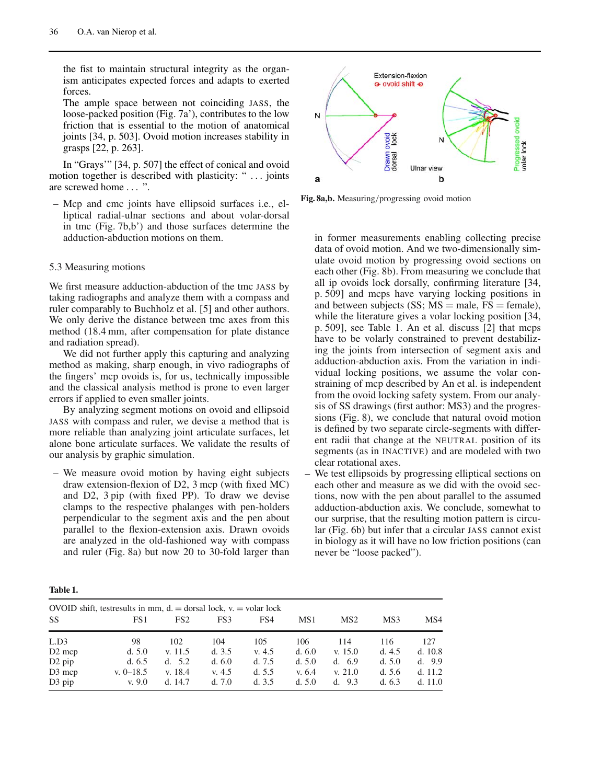the fist to maintain structural integrity as the organism anticipates expected forces and adapts to exerted forces.

The ample space between not coinciding JASS, the loose-packed position (Fig. 7a'), contributes to the low friction that is essential to the motion of anatomical joints [34, p. 503]. Ovoid motion increases stability in grasps [22, p. 263].

In "Grays'" [34, p. 507] the effect of conical and ovoid motion together is described with plasticity: " ... joints are screwed home ... ".

– Mcp and cmc joints have ellipsoid surfaces i.e., elliptical radial-ulnar sections and about volar-dorsal in tmc (Fig. 7b,b') and those surfaces determine the adduction-abduction motions on them.

#### 5.3 Measuring motions

We first measure adduction-abduction of the tmc JASS by taking radiographs and analyze them with a compass and ruler comparably to Buchholz et al. [5] and other authors. We only derive the distance between tmc axes from this method (18.4 mm, after compensation for plate distance and radiation spread).

We did not further apply this capturing and analyzing method as making, sharp enough, in vivo radiographs of the fingers' mcp ovoids is, for us, technically impossible and the classical analysis method is prone to even larger errors if applied to even smaller joints.

By analyzing segment motions on ovoid and ellipsoid JASS with compass and ruler, we devise a method that is more reliable than analyzing joint articulate surfaces, let alone bone articulate surfaces. We validate the results of our analysis by graphic simulation.

– We measure ovoid motion by having eight subjects draw extension-flexion of D2, 3 mcp (with fixed MC) and D2, 3 pip (with fixed PP). To draw we devise clamps to the respective phalanges with pen-holders perpendicular to the segment axis and the pen about parallel to the flexion-extension axis. Drawn ovoids are analyzed in the old-fashioned way with compass and ruler (Fig. 8a) but now 20 to 30-fold larger than



**Fig. 8a,b.** Measuring/progressing ovoid motion

in former measurements enabling collecting precise data of ovoid motion. And we two-dimensionally simulate ovoid motion by progressing ovoid sections on each other (Fig. 8b). From measuring we conclude that all ip ovoids lock dorsally, confirming literature [34, p. 509] and mcps have varying locking positions in and between subjects (SS;  $MS = male$ ,  $FS = female$ ), while the literature gives a volar locking position [34, p. 509], see Table 1. An et al. discuss [2] that mcps have to be volarly constrained to prevent destabilizing the joints from intersection of segment axis and adduction-abduction axis. From the variation in individual locking positions, we assume the volar constraining of mcp described by An et al. is independent from the ovoid locking safety system. From our analysis of SS drawings (first author: MS3) and the progressions (Fig. 8), we conclude that natural ovoid motion is defined by two separate circle-segments with different radii that change at the NEUTRAL position of its segments (as in INACTIVE) and are modeled with two clear rotational axes.

We test ellipsoids by progressing elliptical sections on each other and measure as we did with the ovoid sections, now with the pen about parallel to the assumed adduction-abduction axis. We conclude, somewhat to our surprise, that the resulting motion pattern is circular (Fig. 6b) but infer that a circular JASS cannot exist in biology as it will have no low friction positions (can never be "loose packed").

| OVOID shift, test results in mm, $d =$ dorsal lock, $v =$ volar lock |                 |                 |        |          |        |                 |          |         |
|----------------------------------------------------------------------|-----------------|-----------------|--------|----------|--------|-----------------|----------|---------|
| SS                                                                   | FS <sub>1</sub> | FS <sub>2</sub> | FS3    | FS4      | MS1    | MS <sub>2</sub> | MS3      | MS4     |
| L.D3                                                                 | 98              | 102             | 104    | 105      | 106    | 114             | 116      | 127     |
| $D2$ mcp                                                             | d. 5.0          | v. $11.5$       | d.3.5  | v.4.5    | d.6.0  | v. $15.0$       | d.4.5    | d. 10.8 |
| $D2$ pip                                                             | d.6.5           | d. $5.2$        | d.6.0  | d. 7.5   | d. 5.0 | d. $6.9$        | d. 5.0   | d. 9.9  |
| $D3$ mcp                                                             | v. $0-18.5$     | v. 18.4         | v.4.5  | d. $5.5$ | v.6.4  | v. 21.0         | d. 5.6   | d. 11.2 |
| $D3$ pip                                                             | v.9.0           | d. $14.7$       | d. 7.0 | d. $3.5$ | d. 5.0 | d. $9.3$        | d. $6.3$ | d. 11.0 |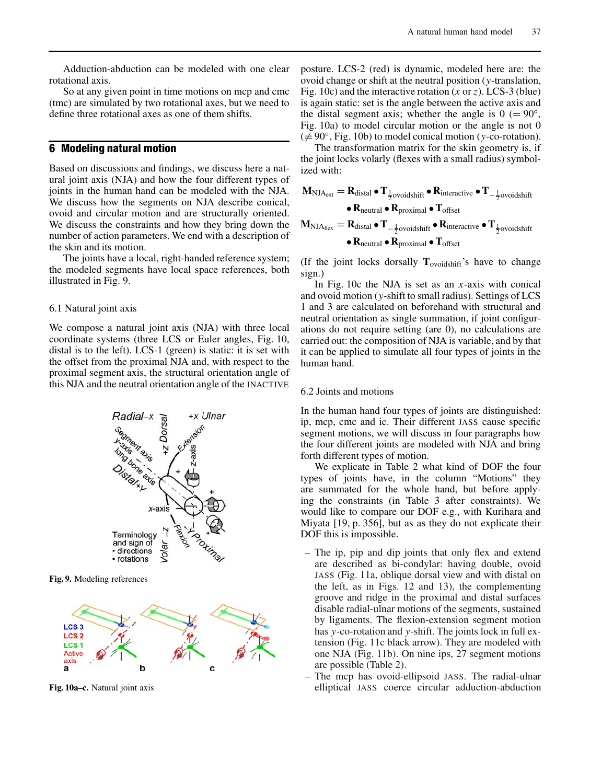Adduction-abduction can be modeled with one clear rotational axis.

So at any given point in time motions on mcp and cmc (tmc) are simulated by two rotational axes, but we need to define three rotational axes as one of them shifts.

## **6 Modeling natural motion**

Based on discussions and findings, we discuss here a natural joint axis (NJA) and how the four different types of joints in the human hand can be modeled with the NJA. We discuss how the segments on NJA describe conical, ovoid and circular motion and are structurally oriented. We discuss the constraints and how they bring down the number of action parameters. We end with a description of the skin and its motion.

The joints have a local, right-handed reference system; the modeled segments have local space references, both illustrated in Fig. 9.

#### 6.1 Natural joint axis

We compose a natural joint axis (NJA) with three local coordinate systems (three LCS or Euler angles, Fig. 10, distal is to the left). LCS-1 (green) is static: it is set with the offset from the proximal NJA and, with respect to the proximal segment axis, the structural orientation angle of this NJA and the neutral orientation angle of the INACTIVE



**Fig. 9.** Modeling references



**Fig. 10a–c.** Natural joint axis

posture. LCS-2 (red) is dynamic, modeled here are: the ovoid change or shift at the neutral position (*y*-translation, Fig. 10c) and the interactive rotation (*x* or *z*). LCS-3 (blue) is again static: set is the angle between the active axis and the distal segment axis; whether the angle is  $0 (= 90°)$ , Fig. 10a) to model circular motion or the angle is not 0 (-= 90◦, Fig. 10b) to model conical motion (*y*-co-rotation).

The transformation matrix for the skin geometry is, if the joint locks volarly (flexes with a small radius) symbolized with:

$$
\begin{aligned} \mathbf{M}_{NJA_{ext}} &= \mathbf{R}_{distal} \bullet \mathbf{T}_{\frac{1}{2} \text{ovoidshift}} \bullet \mathbf{R}_{interactive} \bullet \mathbf{T}_{-\frac{1}{2} \text{ovidshift}} \\ &\bullet \mathbf{R}_{neutral} \bullet \mathbf{R}_{proximal} \bullet \mathbf{T}_{offset} \\ \mathbf{M}_{NJAflex} &= \mathbf{R}_{distal} \bullet \mathbf{T}_{-\frac{1}{2} \text{ovoidshift}} \bullet \mathbf{R}_{interactive} \bullet \mathbf{T}_{\frac{1}{2} \text{ovoidshift}} \\ &\bullet \mathbf{R}_{neutral} \bullet \mathbf{R}_{proximal} \bullet \mathbf{T}_{offset} \end{aligned}
$$

(If the joint locks dorsally  $T_{\text{ovoidshift}}$ 's have to change sign.)

In Fig. 10c the NJA is set as an *x*-axis with conical and ovoid motion (*y*-shift to small radius). Settings of LCS 1 and 3 are calculated on beforehand with structural and neutral orientation as single summation, if joint configurations do not require setting (are 0), no calculations are carried out: the composition of NJA is variable, and by that it can be applied to simulate all four types of joints in the human hand.

#### 6.2 Joints and motions

In the human hand four types of joints are distinguished: ip, mcp, cmc and ic. Their different JASS cause specific segment motions, we will discuss in four paragraphs how the four different joints are modeled with NJA and bring forth different types of motion.

We explicate in Table 2 what kind of DOF the four types of joints have, in the column "Motions" they are summated for the whole hand, but before applying the constraints (in Table 3 after constraints). We would like to compare our DOF e.g., with Kurihara and Miyata [19, p. 356], but as as they do not explicate their DOF this is impossible.

- The ip, pip and dip joints that only flex and extend are described as bi-condylar: having double, ovoid JASS (Fig. 11a, oblique dorsal view and with distal on the left, as in Figs. 12 and 13), the complementing groove and ridge in the proximal and distal surfaces disable radial-ulnar motions of the segments, sustained by ligaments. The flexion-extension segment motion has *y*-co-rotation and *y*-shift. The joints lock in full extension (Fig. 11c black arrow). They are modeled with one NJA (Fig. 11b). On nine ips, 27 segment motions are possible (Table 2).
- The mcp has ovoid-ellipsoid JASS. The radial-ulnar elliptical JASS coerce circular adduction-abduction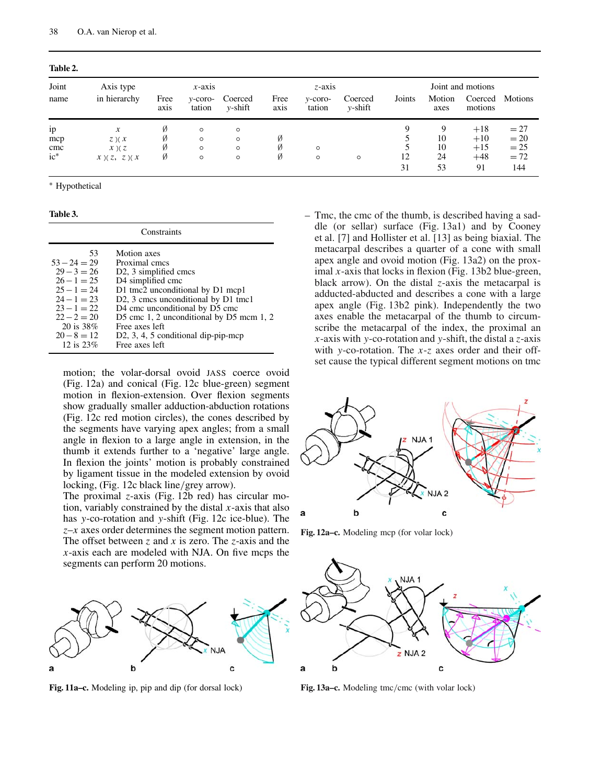**Table 2.**

| Tabie 4. |                         |              |                          |                       |              |                      |                       |                   |                |         |                 |
|----------|-------------------------|--------------|--------------------------|-----------------------|--------------|----------------------|-----------------------|-------------------|----------------|---------|-----------------|
| Joint    | Axis type               | $x$ -axis    |                          |                       | $z$ -axis    |                      |                       | Joint and motions |                |         |                 |
| name     | in hierarchy            | Free<br>axis | $v\text{-cor}$<br>tation | Coerced<br>$v$ -shift | Free<br>axis | $v$ -coro-<br>tation | Coerced<br>$v$ -shift | Joints            | Motion<br>axes | motions | Coerced Motions |
| ip       | $\mathcal{X}$           | Ø            | $\circ$                  | $\circ$               |              |                      |                       | Q                 | 9              | $+18$   | $=27$           |
| mcp      | Z(x)                    | Ø            | $\circ$                  | $\circ$               | Ø            |                      |                       |                   | 10             | $+10$   | $=20$           |
| cmc      | $x \vee z$              | Ø            | $\circ$                  | $\circ$               | Ø            | $\circ$              |                       |                   | 10             | $+15$   | $=25$           |
| $ic^*$   | $x$ )( $z$ , $z$ )( $x$ | Ø            | $\circ$                  | $\circ$               | Ø            | $\circ$              | $\circ$               | 12                | 24             | $+48$   | $= 72$          |
|          |                         |              |                          |                       |              |                      |                       | 31                | 53             | 91      | 144             |

<sup>∗</sup> Hypothetical

**Table 3.**

| Constraints    |                                                                          |  |  |  |  |
|----------------|--------------------------------------------------------------------------|--|--|--|--|
| 53             | Motion axes                                                              |  |  |  |  |
| $53 - 24 = 29$ | Proximal cmcs                                                            |  |  |  |  |
| $29 - 3 = 26$  | D <sub>2</sub> , 3 simplified cmcs                                       |  |  |  |  |
| $26 - 1 = 25$  | D <sub>4</sub> simplified cmc                                            |  |  |  |  |
| $25 - 1 = 24$  | D1 tmc2 unconditional by D1 mcp1                                         |  |  |  |  |
| $24 - 1 = 23$  | D <sub>2</sub> , 3 cmcs unconditional by D <sub>1</sub> tmc <sub>1</sub> |  |  |  |  |
| $23 - 1 = 22$  | D <sub>4</sub> cmc unconditional by D <sub>5</sub> cmc                   |  |  |  |  |
| $22 - 2 = 20$  | D5 cmc 1, 2 unconditional by D5 mcm 1, 2                                 |  |  |  |  |
| 20 is $38\%$   | Free axes left                                                           |  |  |  |  |
| $20 - 8 = 12$  | $D2, 3, 4, 5$ conditional dip-pip-mcp                                    |  |  |  |  |
| 12 is $23%$    | Free axes left                                                           |  |  |  |  |

motion; the volar-dorsal ovoid JASS coerce ovoid (Fig. 12a) and conical (Fig. 12c blue-green) segment motion in flexion-extension. Over flexion segments show gradually smaller adduction-abduction rotations (Fig. 12c red motion circles), the cones described by the segments have varying apex angles; from a small angle in flexion to a large angle in extension, in the thumb it extends further to a 'negative' large angle. In flexion the joints' motion is probably constrained by ligament tissue in the modeled extension by ovoid locking, (Fig. 12c black line/grey arrow).

The proximal *z*-axis (Fig. 12b red) has circular motion, variably constrained by the distal *x*-axis that also has *y*-co-rotation and *y*-shift (Fig. 12c ice-blue). The *z*–*x* axes order determines the segment motion pattern. The offset between *z* and *x* is zero. The *z*-axis and the *x*-axis each are modeled with NJA. On five mcps the segments can perform 20 motions.



**Fig. 11a–c.** Modeling ip, pip and dip (for dorsal lock)

– Tmc, the cmc of the thumb, is described having a saddle (or sellar) surface (Fig. 13a1) and by Cooney et al. [7] and Hollister et al. [13] as being biaxial. The metacarpal describes a quarter of a cone with small apex angle and ovoid motion (Fig. 13a2) on the proximal *x*-axis that locks in flexion (Fig. 13b2 blue-green, black arrow). On the distal *z*-axis the metacarpal is adducted-abducted and describes a cone with a large apex angle (Fig. 13b2 pink). Independently the two axes enable the metacarpal of the thumb to circumscribe the metacarpal of the index, the proximal an *x*-axis with *y*-co-rotation and *y*-shift, the distal a *z*-axis with *y*-co-rotation. The *x*-*z* axes order and their offset cause the typical different segment motions on tmc



**Fig. 12a–c.** Modeling mcp (for volar lock)



**Fig. 13a–c.** Modeling tmc/cmc (with volar lock)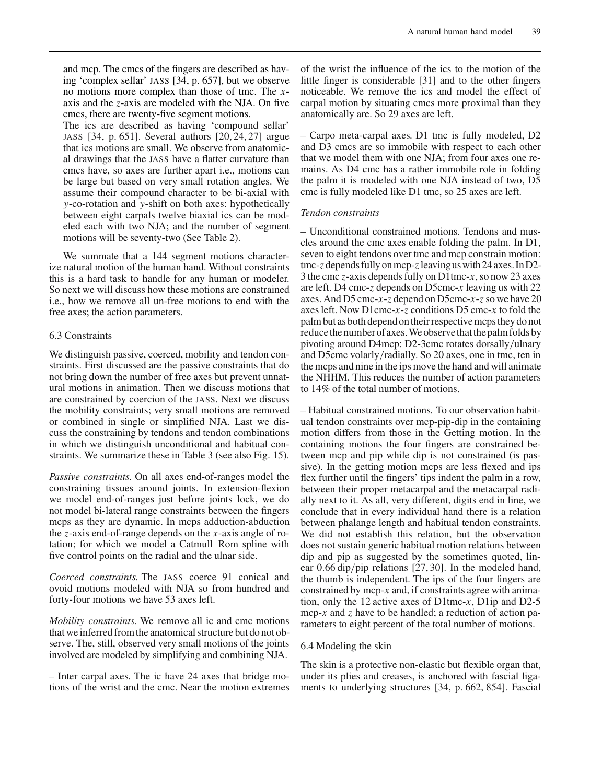and mcp. The cmcs of the fingers are described as having 'complex sellar' JASS [34, p. 657], but we observe no motions more complex than those of tmc. The *x*axis and the *z*-axis are modeled with the NJA. On five cmcs, there are twenty-five segment motions.

– The ics are described as having 'compound sellar' JASS [34, p. 651]. Several authors [20, 24, 27] argue that ics motions are small. We observe from anatomical drawings that the JASS have a flatter curvature than cmcs have, so axes are further apart i.e., motions can be large but based on very small rotation angles. We assume their compound character to be bi-axial with *y*-co-rotation and *y*-shift on both axes: hypothetically between eight carpals twelve biaxial ics can be modeled each with two NJA; and the number of segment motions will be seventy-two (See Table 2).

We summate that a 144 segment motions characterize natural motion of the human hand. Without constraints this is a hard task to handle for any human or modeler. So next we will discuss how these motions are constrained i.e., how we remove all un-free motions to end with the free axes; the action parameters.

#### 6.3 Constraints

We distinguish passive, coerced, mobility and tendon constraints. First discussed are the passive constraints that do not bring down the number of free axes but prevent unnatural motions in animation. Then we discuss motions that are constrained by coercion of the JASS. Next we discuss the mobility constraints; very small motions are removed or combined in single or simplified NJA. Last we discuss the constraining by tendons and tendon combinations in which we distinguish unconditional and habitual constraints. We summarize these in Table 3 (see also Fig. 15).

*Passive constraints.* On all axes end-of-ranges model the constraining tissues around joints. In extension-flexion we model end-of-ranges just before joints lock, we do not model bi-lateral range constraints between the fingers mcps as they are dynamic. In mcps adduction-abduction the *z*-axis end-of-range depends on the *x*-axis angle of rotation; for which we model a Catmull–Rom spline with five control points on the radial and the ulnar side.

*Coerced constraints.* The JASS coerce 91 conical and ovoid motions modeled with NJA so from hundred and forty-four motions we have 53 axes left.

*Mobility constraints.* We remove all ic and cmc motions that we inferred from the anatomical structure but do not observe. The, still, observed very small motions of the joints involved are modeled by simplifying and combining NJA.

*–* Inter carpal axes*.* The ic have 24 axes that bridge motions of the wrist and the cmc. Near the motion extremes of the wrist the influence of the ics to the motion of the little finger is considerable [31] and to the other fingers noticeable. We remove the ics and model the effect of carpal motion by situating cmcs more proximal than they anatomically are. So 29 axes are left.

*–* Carpo meta-carpal axes*.* D1 tmc is fully modeled, D2 and D3 cmcs are so immobile with respect to each other that we model them with one NJA; from four axes one remains. As D4 cmc has a rather immobile role in folding the palm it is modeled with one NJA instead of two, D5 cmc is fully modeled like D1 tmc, so 25 axes are left.

#### *Tendon constraints*

*–* Unconditional constrained motions*.* Tendons and muscles around the cmc axes enable folding the palm. In D1, seven to eight tendons over tmc and mcp constrain motion: tmc-*z* dependsfullyonmcp-*z*leavinguswith24axes.InD2- 3 the cmc *z*-axis depends fully on D1tmc-*x*, so now 23 axes are left. D4 cmc-*z* depends on D5cmc-*x* leaving us with 22 axes. And D5 cmc-*x*-*z* depend on D5cmc-*x*-*z*so we have 20 axes left. Now D1cmc-*x*-*z* conditions D5 cmc-*x* to fold the palm but as both depend on their respective mcps they do not reduce the number of axes. We observe that the palm folds by pivoting around D4mcp: D2-3cmc rotates dorsally/ulnary and D5cmc volarly/radially. So 20 axes, one in tmc, ten in the mcps and nine in the ips move the hand and will animate the NHHM. This reduces the number of action parameters to 14% of the total number of motions.

*–* Habitual constrained motions*.* To our observation habitual tendon constraints over mcp-pip-dip in the containing motion differs from those in the Getting motion. In the containing motions the four fingers are constrained between mcp and pip while dip is not constrained (is passive). In the getting motion mcps are less flexed and ips flex further until the fingers' tips indent the palm in a row, between their proper metacarpal and the metacarpal radially next to it. As all, very different, digits end in line, we conclude that in every individual hand there is a relation between phalange length and habitual tendon constraints. We did not establish this relation, but the observation does not sustain generic habitual motion relations between dip and pip as suggested by the sometimes quoted, linear 0.66 dip/pip relations [27, 30]. In the modeled hand, the thumb is independent. The ips of the four fingers are constrained by mcp-*x* and, if constraints agree with animation, only the 12 active axes of D1tmc-*x*, D1ip and D2-5 mcp-*x* and *z* have to be handled; a reduction of action parameters to eight percent of the total number of motions.

#### 6.4 Modeling the skin

The skin is a protective non-elastic but flexible organ that, under its plies and creases, is anchored with fascial ligaments to underlying structures [34, p. 662, 854]. Fascial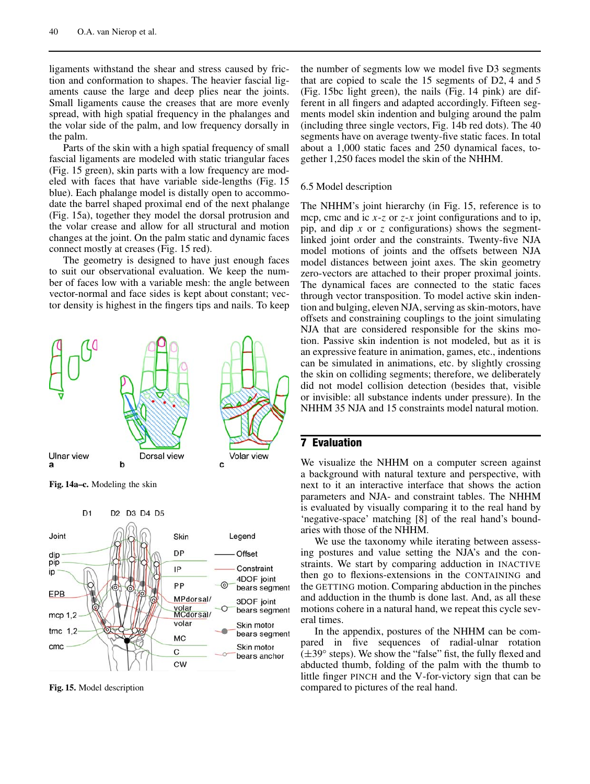ligaments withstand the shear and stress caused by friction and conformation to shapes. The heavier fascial ligaments cause the large and deep plies near the joints. Small ligaments cause the creases that are more evenly spread, with high spatial frequency in the phalanges and the volar side of the palm, and low frequency dorsally in the palm.

Parts of the skin with a high spatial frequency of small fascial ligaments are modeled with static triangular faces (Fig. 15 green), skin parts with a low frequency are modeled with faces that have variable side-lengths (Fig. 15 blue). Each phalange model is distally open to accommodate the barrel shaped proximal end of the next phalange (Fig. 15a), together they model the dorsal protrusion and the volar crease and allow for all structural and motion changes at the joint. On the palm static and dynamic faces connect mostly at creases (Fig. 15 red).

The geometry is designed to have just enough faces to suit our observational evaluation. We keep the number of faces low with a variable mesh: the angle between vector-normal and face sides is kept about constant; vector density is highest in the fingers tips and nails. To keep



**Fig. 14a–c.** Modeling the skin

D<sub>1</sub> D<sub>2</sub> D<sub>3</sub> D<sub>4</sub> D<sub>5</sub>



**Fig. 15.** Model description

the number of segments low we model five D3 segments that are copied to scale the 15 segments of D2, 4 and 5 (Fig. 15bc light green), the nails (Fig. 14 pink) are different in all fingers and adapted accordingly. Fifteen segments model skin indention and bulging around the palm (including three single vectors, Fig. 14b red dots). The 40 segments have on average twenty-five static faces. In total about a 1,000 static faces and 250 dynamical faces, together 1,250 faces model the skin of the NHHM.

#### 6.5 Model description

The NHHM's joint hierarchy (in Fig. 15, reference is to mcp, cmc and ic *x*-*z* or *z*-*x* joint configurations and to ip, pip, and dip *x* or *z* configurations) shows the segmentlinked joint order and the constraints. Twenty-five NJA model motions of joints and the offsets between NJA model distances between joint axes. The skin geometry zero-vectors are attached to their proper proximal joints. The dynamical faces are connected to the static faces through vector transposition. To model active skin indention and bulging, eleven NJA, serving as skin-motors, have offsets and constraining couplings to the joint simulating NJA that are considered responsible for the skins motion. Passive skin indention is not modeled, but as it is an expressive feature in animation, games, etc., indentions can be simulated in animations, etc. by slightly crossing the skin on colliding segments; therefore, we deliberately did not model collision detection (besides that, visible or invisible: all substance indents under pressure). In the NHHM 35 NJA and 15 constraints model natural motion.

# **7 Evaluation**

We visualize the NHHM on a computer screen against a background with natural texture and perspective, with next to it an interactive interface that shows the action parameters and NJA- and constraint tables. The NHHM is evaluated by visually comparing it to the real hand by 'negative-space' matching [8] of the real hand's boundaries with those of the NHHM.

We use the taxonomy while iterating between assessing postures and value setting the NJA's and the constraints. We start by comparing adduction in INACTIVE then go to flexions-extensions in the CONTAINING and the GETTING motion. Comparing abduction in the pinches and adduction in the thumb is done last. And, as all these motions cohere in a natural hand, we repeat this cycle several times.

In the appendix, postures of the NHHM can be compared in five sequences of radial-ulnar rotation (±39◦ steps). We show the "false" fist, the fully flexed and abducted thumb, folding of the palm with the thumb to little finger PINCH and the V-for-victory sign that can be compared to pictures of the real hand.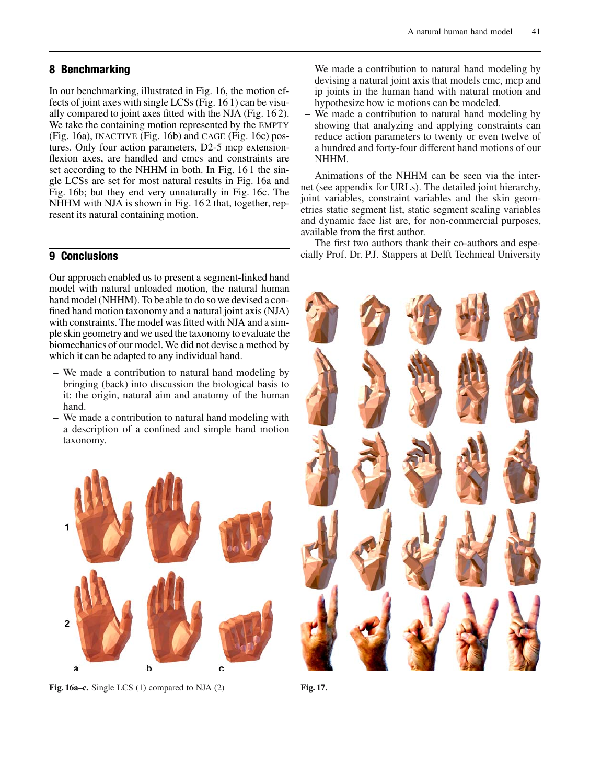# **8 Benchmarking**

In our benchmarking, illustrated in Fig. 16, the motion effects of joint axes with single LCSs (Fig. 16 1) can be visually compared to joint axes fitted with the NJA (Fig. 16 2). We take the containing motion represented by the EMPTY (Fig. 16a), INACTIVE (Fig. 16b) and CAGE (Fig. 16c) postures. Only four action parameters, D2-5 mcp extensionflexion axes, are handled and cmcs and constraints are set according to the NHHM in both. In Fig. 16 1 the single LCSs are set for most natural results in Fig. 16a and Fig. 16b; but they end very unnaturally in Fig. 16c. The NHHM with NJA is shown in Fig. 16 2 that, together, represent its natural containing motion.

# **9 Conclusions**

Our approach enabled us to present a segment-linked hand model with natural unloaded motion, the natural human hand model (NHHM). To be able to do so we devised a confined hand motion taxonomy and a natural joint axis (NJA) with constraints. The model was fitted with NJA and a simple skin geometry and we used the taxonomy to evaluate the biomechanics of our model. We did not devise a method by which it can be adapted to any individual hand.

- We made a contribution to natural hand modeling by bringing (back) into discussion the biological basis to it: the origin, natural aim and anatomy of the human hand.
- We made a contribution to natural hand modeling with a description of a confined and simple hand motion taxonomy.



**Fig. 16a–c.** Single LCS (1) compared to NJA (2)

- We made a contribution to natural hand modeling by devising a natural joint axis that models cmc, mcp and ip joints in the human hand with natural motion and hypothesize how ic motions can be modeled.
- We made a contribution to natural hand modeling by showing that analyzing and applying constraints can reduce action parameters to twenty or even twelve of a hundred and forty-four different hand motions of our NHHM.

Animations of the NHHM can be seen via the internet (see appendix for URLs). The detailed joint hierarchy, joint variables, constraint variables and the skin geometries static segment list, static segment scaling variables and dynamic face list are, for non-commercial purposes, available from the first author.

The first two authors thank their co-authors and especially Prof. Dr. P.J. Stappers at Delft Technical University



**Fig. 17.**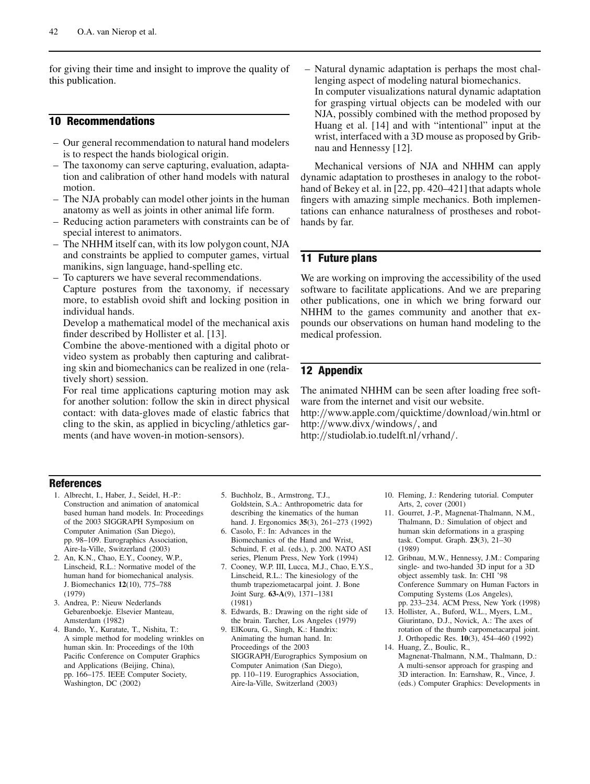for giving their time and insight to improve the quality of this publication.

# **10 Recommendations**

- Our general recommendation to natural hand modelers is to respect the hands biological origin.
- The taxonomy can serve capturing, evaluation, adaptation and calibration of other hand models with natural motion.
- The NJA probably can model other joints in the human anatomy as well as joints in other animal life form.
- Reducing action parameters with constraints can be of special interest to animators.
- The NHHM itself can, with its low polygon count, NJA and constraints be applied to computer games, virtual manikins, sign language, hand-spelling etc.
- To capturers we have several recommendations. Capture postures from the taxonomy, if necessary more, to establish ovoid shift and locking position in individual hands.

Develop a mathematical model of the mechanical axis finder described by Hollister et al. [13].

Combine the above-mentioned with a digital photo or video system as probably then capturing and calibrating skin and biomechanics can be realized in one (relatively short) session.

For real time applications capturing motion may ask for another solution: follow the skin in direct physical contact: with data-gloves made of elastic fabrics that cling to the skin, as applied in bicycling/athletics garments (and have woven-in motion-sensors).

– Natural dynamic adaptation is perhaps the most challenging aspect of modeling natural biomechanics. In computer visualizations natural dynamic adaptation for grasping virtual objects can be modeled with our NJA, possibly combined with the method proposed by Huang et al. [14] and with "intentional" input at the wrist, interfaced with a 3D mouse as proposed by Gribnau and Hennessy [12].

Mechanical versions of NJA and NHHM can apply dynamic adaptation to prostheses in analogy to the robothand of Bekey et al. in [22, pp. 420–421] that adapts whole fingers with amazing simple mechanics. Both implementations can enhance naturalness of prostheses and robothands by far.

# **11 Future plans**

We are working on improving the accessibility of the used software to facilitate applications. And we are preparing other publications, one in which we bring forward our NHHM to the games community and another that expounds our observations on human hand modeling to the medical profession.

# **12 Appendix**

The animated NHHM can be seen after loading free software from the internet and visit our website. http://www.apple.com/quicktime/download/win.html or http://www.divx/windows/, and http://studiolab.io.tudelft.nl/vrhand/.

#### **References**

- 1. Albrecht, I., Haber, J., Seidel, H.-P.: Construction and animation of anatomical based human hand models. In: Proceedings of the 2003 SIGGRAPH Symposium on Computer Animation (San Diego), pp. 98–109. Eurographics Association, Aire-la-Ville, Switzerland (2003)
- 2. An, K.N., Chao, E.Y., Cooney, W.P., Linscheid, R.L.: Normative model of the human hand for biomechanical analysis. J. Biomechanics **12**(10), 775–788 (1979)
- 3. Andrea, P.: Nieuw Nederlands Gebarenboekje. Elsevier Manteau, Amsterdam (1982)
- 4. Bando, Y., Kuratate, T., Nishita, T.: A simple method for modeling wrinkles on human skin. In: Proceedings of the 10th Pacific Conference on Computer Graphics and Applications (Beijing, China), pp. 166–175. IEEE Computer Society, Washington, DC (2002)
- 5. Buchholz, B., Armstrong, T.J., Goldstein, S.A.: Anthropometric data for describing the kinematics of the human hand. J. Ergonomics **35**(3), 261–273 (1992)
- 6. Casolo, F.: In: Advances in the Biomechanics of the Hand and Wrist, Schuind, F. et al. (eds.), p. 200. NATO ASI series, Plenum Press, New York (1994)
- 7. Cooney, W.P. III, Lucca, M.J., Chao, E.Y.S., Linscheid, R.L.: The kinesiology of the thumb trapeziometacarpal joint. J. Bone Joint Surg. **63-A**(9), 1371–1381 (1981)
- 8. Edwards, B.: Drawing on the right side of the brain. Tarcher, Los Angeles (1979)
- 9. ElKoura, G., Singh, K.: Handrix: Animating the human hand. In: Proceedings of the 2003 SIGGRAPH/Eurographics Symposium on Computer Animation (San Diego), pp. 110–119. Eurographics Association, Aire-la-Ville, Switzerland (2003)
- 10. Fleming, J.: Rendering tutorial. Computer Arts, 2, cover (2001)
- 11. Gourret, J.-P., Magnenat-Thalmann, N.M., Thalmann, D.: Simulation of object and human skin deformations in a grasping task. Comput. Graph. **23**(3), 21–30 (1989)
- 12. Gribnau, M.W., Hennessy, J.M.: Comparing single- and two-handed 3D input for a 3D object assembly task. In: CHI '98 Conference Summary on Human Factors in Computing Systems (Los Angeles), pp. 233–234. ACM Press, New York (1998)
- 13. Hollister, A., Buford, W.L., Myers, L.M., Giurintano, D.J., Novick, A.: The axes of rotation of the thumb carpometacarpal joint. J. Orthopedic Res. **10**(3), 454–460 (1992)
- 14. Huang, Z., Boulic, R., Magnenat-Thalmann, N.M., Thalmann, D.: A multi-sensor approach for grasping and 3D interaction. In: Earnshaw, R., Vince, J. (eds.) Computer Graphics: Developments in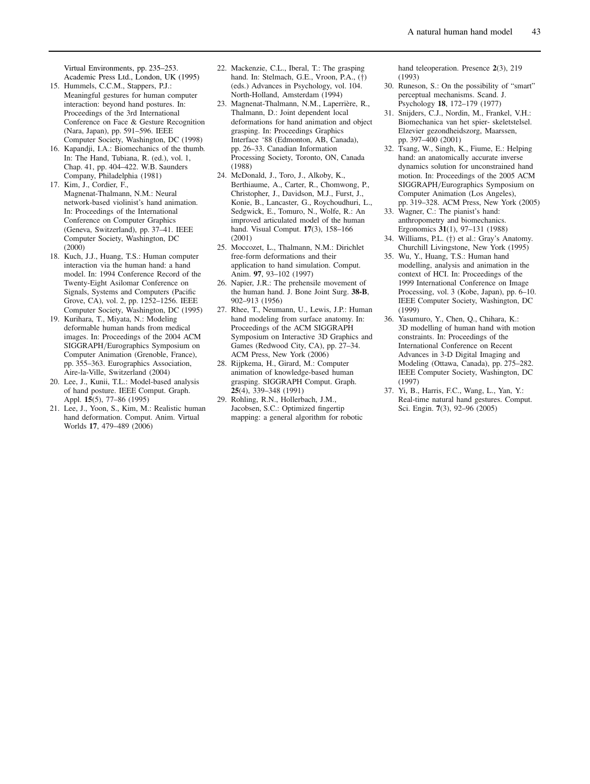Virtual Environments, pp. 235–253. Academic Press Ltd., London, UK (1995)

- 15. Hummels, C.C.M., Stappers, P.J.: Meaningful gestures for human computer interaction: beyond hand postures. In: Proceedings of the 3rd International Conference on Face & Gesture Recognition (Nara, Japan), pp. 591–596. IEEE Computer Society, Washington, DC (1998)
- 16. Kapandji, I.A.: Biomechanics of the thumb. In: The Hand, Tubiana, R. (ed.), vol. 1, Chap. 41, pp. 404–422. W.B. Saunders Company, Philadelphia (1981)
- 17. Kim, J., Cordier, F., Magnenat-Thalmann, N.M.: Neural network-based violinist's hand animation. In: Proceedings of the International Conference on Computer Graphics (Geneva, Switzerland), pp. 37–41. IEEE Computer Society, Washington, DC (2000)
- 18. Kuch, J.J., Huang, T.S.: Human computer interaction via the human hand: a hand model. In: 1994 Conference Record of the Twenty-Eight Asilomar Conference on Signals, Systems and Computers (Pacific Grove, CA), vol. 2, pp. 1252–1256. IEEE Computer Society, Washington, DC (1995)
- 19. Kurihara, T., Miyata, N.: Modeling deformable human hands from medical images. In: Proceedings of the 2004 ACM SIGGRAPH/Eurographics Symposium on Computer Animation (Grenoble, France), pp. 355–363. Eurographics Association, Aire-la-Ville, Switzerland (2004)
- 20. Lee, J., Kunii, T.L.: Model-based analysis of hand posture. IEEE Comput. Graph. Appl. **15**(5), 77–86 (1995)
- 21. Lee, J., Yoon, S., Kim, M.: Realistic human hand deformation. Comput. Anim. Virtual Worlds **17**, 479–489 (2006)
- 22. Mackenzie, C.L., Iberal, T.: The grasping hand. In: Stelmach, G.E., Vroon, P.A., (†) (eds.) Advances in Psychology, vol. 104. North-Holland, Amsterdam (1994)
- 23. Magnenat-Thalmann, N.M., Laperrière, R., Thalmann, D.: Joint dependent local deformations for hand animation and object grasping. In: Proceedings Graphics Interface '88 (Edmonton, AB, Canada), pp. 26–33. Canadian Information Processing Society, Toronto, ON, Canada (1988)
- 24. McDonald, J., Toro, J., Alkoby, K., Berthiaume, A., Carter, R., Chomwong, P., Christopher, J., Davidson, M.J., Furst, J., Konie, B., Lancaster, G., Roychoudhuri, L., Sedgwick, E., Tomuro, N., Wolfe, R.: An improved articulated model of the human hand. Visual Comput. **17**(3), 158–166 (2001)
- 25. Moccozet, L., Thalmann, N.M.: Dirichlet free-form deformations and their application to hand simulation. Comput. Anim. **97**, 93–102 (1997)
- 26. Napier, J.R.: The prehensile movement of the human hand. J. Bone Joint Surg. **38-B**, 902–913 (1956)
- 27. Rhee, T., Neumann, U., Lewis, J.P.: Human hand modeling from surface anatomy. In: Proceedings of the ACM SIGGRAPH Symposium on Interactive 3D Graphics and Games (Redwood City, CA), pp. 27–34. ACM Press, New York (2006)
- 28. Rijpkema, H., Girard, M.: Computer animation of knowledge-based human grasping. SIGGRAPH Comput. Graph. **25**(4), 339–348 (1991)
- 29. Rohling, R.N., Hollerbach, J.M., Jacobsen, S.C.: Optimized fingertip mapping: a general algorithm for robotic

hand teleoperation. Presence **2**(3), 219 (1993)

- 30. Runeson, S.: On the possibility of "smart" perceptual mechanisms. Scand. J. Psychology **18**, 172–179 (1977)
- 31. Snijders, C.J., Nordin, M., Frankel, V.H.: Biomechanica van het spier- skeletstelsel. Elzevier gezondheidszorg, Maarssen, pp. 397–400 (2001)
- 32. Tsang, W., Singh, K., Fiume, E.: Helping hand: an anatomically accurate inverse dynamics solution for unconstrained hand motion. In: Proceedings of the 2005 ACM SIGGRAPH/Eurographics Symposium on Computer Animation (Los Angeles), pp. 319–328. ACM Press, New York (2005)
- 33. Wagner, C.: The pianist's hand: anthropometry and biomechanics. Ergonomics **31**(1), 97–131 (1988)
- 34. Williams, P.L. (†) et al.: Gray's Anatomy. Churchill Livingstone, New York (1995)
- 35. Wu, Y., Huang, T.S.: Human hand modelling, analysis and animation in the context of HCI. In: Proceedings of the 1999 International Conference on Image Processing, vol. 3 (Kobe, Japan), pp. 6–10. IEEE Computer Society, Washington, DC (1999)
- 36. Yasumuro, Y., Chen, Q., Chihara, K.: 3D modelling of human hand with motion constraints. In: Proceedings of the International Conference on Recent Advances in 3-D Digital Imaging and Modeling (Ottawa, Canada), pp. 275–282. IEEE Computer Society, Washington, DC (1997)
- 37. Yi, B., Harris, F.C., Wang, L., Yan, Y.: Real-time natural hand gestures. Comput. Sci. Engin. **7**(3), 92–96 (2005)